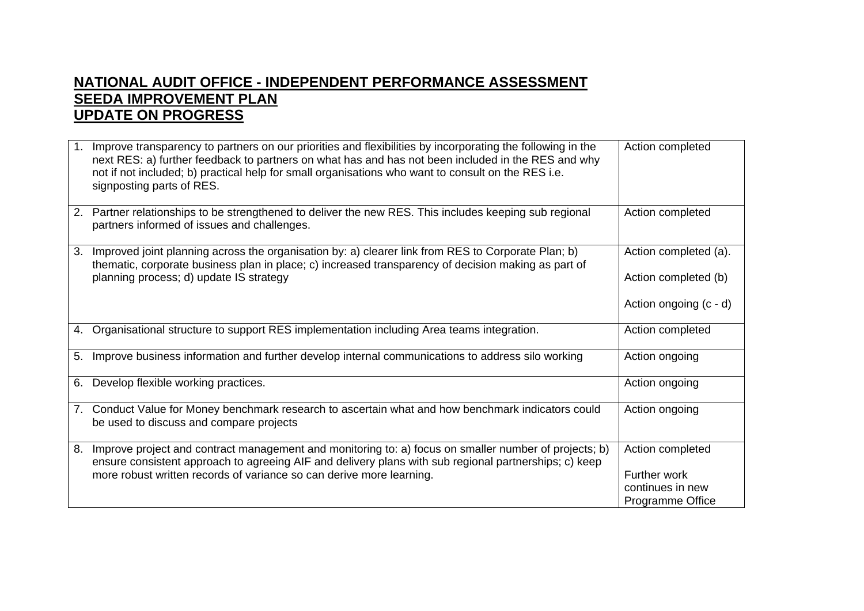## **NATIONAL AUDIT OFFICE - INDEPENDENT PERFORMANCE ASSESSMENT SEEDA IMPROVEMENT PLAN UPDATE ON PROGRESS**

| 1. | Improve transparency to partners on our priorities and flexibilities by incorporating the following in the<br>next RES: a) further feedback to partners on what has and has not been included in the RES and why<br>not if not included; b) practical help for small organisations who want to consult on the RES i.e.<br>signposting parts of RES. | Action completed                                                                |
|----|-----------------------------------------------------------------------------------------------------------------------------------------------------------------------------------------------------------------------------------------------------------------------------------------------------------------------------------------------------|---------------------------------------------------------------------------------|
|    | 2. Partner relationships to be strengthened to deliver the new RES. This includes keeping sub regional<br>partners informed of issues and challenges.                                                                                                                                                                                               | Action completed                                                                |
| 3. | Improved joint planning across the organisation by: a) clearer link from RES to Corporate Plan; b)<br>thematic, corporate business plan in place; c) increased transparency of decision making as part of<br>planning process; d) update IS strategy                                                                                                | Action completed (a).<br>Action completed (b)<br>Action ongoing (c - d)         |
|    | 4. Organisational structure to support RES implementation including Area teams integration.                                                                                                                                                                                                                                                         | Action completed                                                                |
| 5. | Improve business information and further develop internal communications to address silo working                                                                                                                                                                                                                                                    | Action ongoing                                                                  |
| 6. | Develop flexible working practices.                                                                                                                                                                                                                                                                                                                 | Action ongoing                                                                  |
| 7. | Conduct Value for Money benchmark research to ascertain what and how benchmark indicators could<br>be used to discuss and compare projects                                                                                                                                                                                                          | Action ongoing                                                                  |
| 8. | Improve project and contract management and monitoring to: a) focus on smaller number of projects; b)<br>ensure consistent approach to agreeing AIF and delivery plans with sub regional partnerships; c) keep<br>more robust written records of variance so can derive more learning.                                                              | Action completed<br><b>Further work</b><br>continues in new<br>Programme Office |